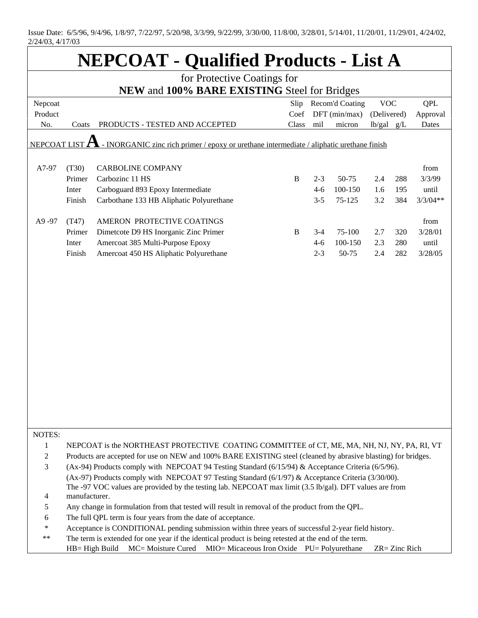Issue Date: 6/5/96, 9/4/96, 1/8/97, 7/22/97, 5/20/98, 3/3/99, 9/22/99, 3/30/00, 11/8/00, 3/28/01, 5/14/01, 11/20/01, 11/29/01, 4/24/02, 2/24/03, 4/17/03

| <b>NEPCOAT - Qualified Products - List A</b>                                                              |                                                                                                                                                                                                                                  |                                                                                    |       |         |                 |                |               |            |  |  |
|-----------------------------------------------------------------------------------------------------------|----------------------------------------------------------------------------------------------------------------------------------------------------------------------------------------------------------------------------------|------------------------------------------------------------------------------------|-------|---------|-----------------|----------------|---------------|------------|--|--|
| for Protective Coatings for                                                                               |                                                                                                                                                                                                                                  |                                                                                    |       |         |                 |                |               |            |  |  |
| NEW and 100% BARE EXISTING Steel for Bridges                                                              |                                                                                                                                                                                                                                  |                                                                                    |       |         |                 |                |               |            |  |  |
| Nepcoat                                                                                                   |                                                                                                                                                                                                                                  |                                                                                    | Slip  |         | Recom'd Coating | <b>VOC</b>     |               | <b>QPL</b> |  |  |
| Product                                                                                                   |                                                                                                                                                                                                                                  |                                                                                    | Coef  |         | DFT (min/max)   | (Delivered)    |               | Approval   |  |  |
| No.                                                                                                       | Coats                                                                                                                                                                                                                            | PRODUCTS - TESTED AND ACCEPTED                                                     | Class | mil     | micron          | $lb/gal$ $g/L$ |               | Dates      |  |  |
| NEPCOAT LIST<br>- INORGANIC zinc rich primer / epoxy or urethane intermediate / aliphatic urethane finish |                                                                                                                                                                                                                                  |                                                                                    |       |         |                 |                |               |            |  |  |
| A7-97                                                                                                     | (T30)                                                                                                                                                                                                                            | <b>CARBOLINE COMPANY</b>                                                           |       |         |                 |                |               | from       |  |  |
|                                                                                                           | Primer                                                                                                                                                                                                                           | Carbozinc 11 HS                                                                    | B     | $2 - 3$ | 50-75           | 2.4            | 288           | 3/3/99     |  |  |
|                                                                                                           | Inter                                                                                                                                                                                                                            | Carboguard 893 Epoxy Intermediate                                                  |       | $4 - 6$ | 100-150         | 1.6            | 195           | until      |  |  |
|                                                                                                           | Finish                                                                                                                                                                                                                           | Carbothane 133 HB Aliphatic Polyurethane                                           |       | $3 - 5$ | 75-125          | 3.2            | 384           | $3/3/04**$ |  |  |
|                                                                                                           |                                                                                                                                                                                                                                  |                                                                                    |       |         |                 |                |               |            |  |  |
| A9-97                                                                                                     | (T47)                                                                                                                                                                                                                            | AMERON PROTECTIVE COATINGS                                                         |       |         |                 |                |               | from       |  |  |
|                                                                                                           | Primer                                                                                                                                                                                                                           | Dimetcote D9 HS Inorganic Zinc Primer                                              | B     | $3 - 4$ | 75-100          | 2.7            | 320           | 3/28/01    |  |  |
|                                                                                                           | Inter                                                                                                                                                                                                                            | Amercoat 385 Multi-Purpose Epoxy                                                   |       | $4 - 6$ | 100-150         | 2.3            | 280           | until      |  |  |
|                                                                                                           | Finish                                                                                                                                                                                                                           | Amercoat 450 HS Aliphatic Polyurethane                                             |       | $2 - 3$ | 50-75           | 2.4            | 282           | 3/28/05    |  |  |
|                                                                                                           |                                                                                                                                                                                                                                  |                                                                                    |       |         |                 |                |               |            |  |  |
| NOTES:                                                                                                    |                                                                                                                                                                                                                                  |                                                                                    |       |         |                 |                |               |            |  |  |
| 1                                                                                                         | NEPCOAT is the NORTHEAST PROTECTIVE COATING COMMITTEE of CT, ME, MA, NH, NJ, NY, PA, RI, VT                                                                                                                                      |                                                                                    |       |         |                 |                |               |            |  |  |
| 2<br>3                                                                                                    | Products are accepted for use on NEW and 100% BARE EXISTING steel (cleaned by abrasive blasting) for bridges.<br>(Ax-94) Products comply with NEPCOAT 94 Testing Standard (6/15/94) & Acceptance Criteria (6/5/96).              |                                                                                    |       |         |                 |                |               |            |  |  |
|                                                                                                           |                                                                                                                                                                                                                                  |                                                                                    |       |         |                 |                |               |            |  |  |
| 4                                                                                                         | (Ax-97) Products comply with NEPCOAT 97 Testing Standard $(6/1/97)$ & Acceptance Criteria (3/30/00).<br>The -97 VOC values are provided by the testing lab. NEPCOAT max limit (3.5 lb/gal). DFT values are from<br>manufacturer. |                                                                                    |       |         |                 |                |               |            |  |  |
| 5                                                                                                         | Any change in formulation from that tested will result in removal of the product from the QPL.                                                                                                                                   |                                                                                    |       |         |                 |                |               |            |  |  |
| 6                                                                                                         | The full QPL term is four years from the date of acceptance.                                                                                                                                                                     |                                                                                    |       |         |                 |                |               |            |  |  |
| $\ast$                                                                                                    | Acceptance is CONDITIONAL pending submission within three years of successful 2-year field history.                                                                                                                              |                                                                                    |       |         |                 |                |               |            |  |  |
| $**$                                                                                                      | The term is extended for one year if the identical product is being retested at the end of the term.                                                                                                                             |                                                                                    |       |         |                 |                |               |            |  |  |
|                                                                                                           |                                                                                                                                                                                                                                  | MIO= Micaceous Iron Oxide PU= Polyurethane<br>MC= Moisture Cured<br>HB= High Build |       |         |                 |                | ZR= Zinc Rich |            |  |  |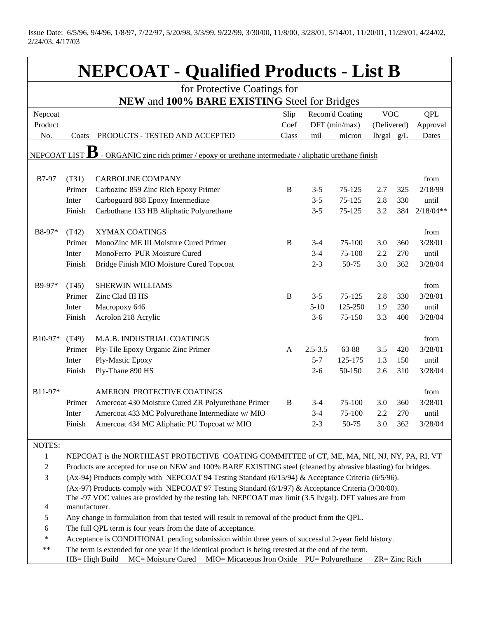Issue Date: 6/5/96, 9/4/96, 1/8/97, 7/22/97, 5/20/98, 3/3/99, 9/22/99, 3/30/00, 11/8/00, 3/28/01, 5/14/01, 11/20/01, 11/29/01, 4/24/02, 2/24/03, 4/17/03

| <b>NEPCOAT - Qualified Products - List B</b>                                                                 |                                                                                                                                                                                                              |                                                                       |              |                  |               |                |            |                 |  |
|--------------------------------------------------------------------------------------------------------------|--------------------------------------------------------------------------------------------------------------------------------------------------------------------------------------------------------------|-----------------------------------------------------------------------|--------------|------------------|---------------|----------------|------------|-----------------|--|
| for Protective Coatings for                                                                                  |                                                                                                                                                                                                              |                                                                       |              |                  |               |                |            |                 |  |
| NEW and 100% BARE EXISTING Steel for Bridges                                                                 |                                                                                                                                                                                                              |                                                                       |              |                  |               |                |            |                 |  |
| Nepcoat                                                                                                      | Recom'd Coating<br>Slip                                                                                                                                                                                      |                                                                       |              |                  | <b>VOC</b>    |                | <b>QPL</b> |                 |  |
| Product                                                                                                      |                                                                                                                                                                                                              |                                                                       | Coef         |                  | DFT (min/max) | (Delivered)    |            | Approval        |  |
| No.                                                                                                          | Coats                                                                                                                                                                                                        | PRODUCTS - TESTED AND ACCEPTED                                        | Class        | mil              | micron        | $lb/gal$ $g/L$ |            | Dates           |  |
| В<br>- ORGANIC zinc rich primer / epoxy or urethane intermediate / aliphatic urethane finish<br>NEPCOAT LIST |                                                                                                                                                                                                              |                                                                       |              |                  |               |                |            |                 |  |
|                                                                                                              |                                                                                                                                                                                                              |                                                                       |              |                  |               |                |            |                 |  |
| B7-97                                                                                                        | (T31)                                                                                                                                                                                                        | <b>CARBOLINE COMPANY</b>                                              |              |                  |               |                |            | from            |  |
|                                                                                                              | Primer                                                                                                                                                                                                       | Carbozinc 859 Zinc Rich Epoxy Primer                                  | B            | $3 - 5$          | 75-125        | 2.7            | 325        | 2/18/99         |  |
|                                                                                                              | Inter                                                                                                                                                                                                        | Carboguard 888 Epoxy Intermediate                                     |              | $3 - 5$          | 75-125        | 2.8            | 330        | until           |  |
|                                                                                                              | Finish                                                                                                                                                                                                       | Carbothane 133 HB Aliphatic Polyurethane                              |              | $3 - 5$          | 75-125        | 3.2            | 384        | $2/18/04**$     |  |
|                                                                                                              |                                                                                                                                                                                                              |                                                                       |              |                  |               |                |            |                 |  |
| B8-97*                                                                                                       | (T42)                                                                                                                                                                                                        | XYMAX COATINGS                                                        |              |                  | 75-100        |                |            | from<br>3/28/01 |  |
|                                                                                                              | Primer<br>Inter                                                                                                                                                                                              | MonoZinc ME III Moisture Cured Primer<br>MonoFerro PUR Moisture Cured | $\, {\bf B}$ | $3-4$<br>$3 - 4$ | 75-100        | 3.0<br>2.2     | 360<br>270 | until           |  |
|                                                                                                              | Finish                                                                                                                                                                                                       |                                                                       |              | $2 - 3$          | 50-75         | 3.0            | 362        | 3/28/04         |  |
|                                                                                                              |                                                                                                                                                                                                              | Bridge Finish MIO Moisture Cured Topcoat                              |              |                  |               |                |            |                 |  |
| B9-97*                                                                                                       | (T45)                                                                                                                                                                                                        | <b>SHERWIN WILLIAMS</b>                                               |              |                  |               |                |            | from            |  |
|                                                                                                              | Primer                                                                                                                                                                                                       | Zinc Clad III HS                                                      | $\, {\bf B}$ | $3 - 5$          | 75-125        | 2.8            | 330        | 3/28/01         |  |
|                                                                                                              | Inter                                                                                                                                                                                                        | Macropoxy 646                                                         |              | $5 - 10$         | 125-250       | 1.9            | 230        | until           |  |
|                                                                                                              | Finish                                                                                                                                                                                                       | Acrolon 218 Acrylic                                                   |              | $3-6$            | 75-150        | 3.3            | 400        | 3/28/04         |  |
| B10-97*                                                                                                      |                                                                                                                                                                                                              | M.A.B. INDUSTRIAL COATINGS                                            |              |                  |               |                |            | from            |  |
|                                                                                                              | (T49)<br>Primer                                                                                                                                                                                              | Ply-Tile Epoxy Organic Zinc Primer                                    | A            | $2.5 - 3.5$      | 63-88         | 3.5            | 420        | 3/28/01         |  |
|                                                                                                              | Inter                                                                                                                                                                                                        | Ply-Mastic Epoxy                                                      |              | $5 - 7$          | 125-175       | 1.3            | 150        | until           |  |
|                                                                                                              | Finish                                                                                                                                                                                                       | Ply-Thane 890 HS                                                      |              | $2 - 6$          | 50-150        | 2.6            | 310        | 3/28/04         |  |
|                                                                                                              |                                                                                                                                                                                                              |                                                                       |              |                  |               |                |            |                 |  |
| B11-97*                                                                                                      |                                                                                                                                                                                                              | AMERON PROTECTIVE COATINGS                                            |              |                  |               |                |            | from            |  |
|                                                                                                              | Primer                                                                                                                                                                                                       | Amercoat 430 Moisture Cured ZR Polyurethane Primer                    | B            | $3 - 4$          | 75-100        | 3.0            | 360        | 3/28/01         |  |
|                                                                                                              | Inter                                                                                                                                                                                                        | Amercoat 433 MC Polyurethane Intermediate w/ MIO                      |              | $3-4$            | 75-100        | 2.2            | 270        | until           |  |
|                                                                                                              | Finish                                                                                                                                                                                                       | Amercoat 434 MC Aliphatic PU Topcoat w/ MIO                           |              | $2 - 3$          | 50-75         | 3.0            | 362        | 3/28/04         |  |
| <b>NOTES:</b>                                                                                                |                                                                                                                                                                                                              |                                                                       |              |                  |               |                |            |                 |  |
| $\mathbf{1}$                                                                                                 |                                                                                                                                                                                                              |                                                                       |              |                  |               |                |            |                 |  |
| $\boldsymbol{2}$                                                                                             | NEPCOAT is the NORTHEAST PROTECTIVE COATING COMMITTEE of CT, ME, MA, NH, NJ, NY, PA, RI, VT<br>Products are accepted for use on NEW and 100% BARE EXISTING steel (cleaned by abrasive blasting) for bridges. |                                                                       |              |                  |               |                |            |                 |  |
| 3                                                                                                            | (Ax-94) Products comply with NEPCOAT 94 Testing Standard (6/15/94) & Acceptance Criteria (6/5/96).                                                                                                           |                                                                       |              |                  |               |                |            |                 |  |
|                                                                                                              | (Ax-97) Products comply with NEPCOAT 97 Testing Standard $(6/1/97)$ & Acceptance Criteria (3/30/00).                                                                                                         |                                                                       |              |                  |               |                |            |                 |  |
|                                                                                                              | The -97 VOC values are provided by the testing lab. NEPCOAT max limit (3.5 lb/gal). DFT values are from                                                                                                      |                                                                       |              |                  |               |                |            |                 |  |
| 4                                                                                                            | manufacturer.                                                                                                                                                                                                |                                                                       |              |                  |               |                |            |                 |  |
| 5                                                                                                            | Any change in formulation from that tested will result in removal of the product from the QPL.                                                                                                               |                                                                       |              |                  |               |                |            |                 |  |
| 6                                                                                                            | The full QPL term is four years from the date of acceptance.                                                                                                                                                 |                                                                       |              |                  |               |                |            |                 |  |
| $\ast$                                                                                                       | Acceptance is CONDITIONAL pending submission within three years of successful 2-year field history.                                                                                                          |                                                                       |              |                  |               |                |            |                 |  |
| $***$                                                                                                        | The term is extended for one year if the identical product is being retested at the end of the term.                                                                                                         |                                                                       |              |                  |               |                |            |                 |  |
| MIO= Micaceous Iron Oxide PU= Polyurethane<br>HB= High Build<br>MC= Moisture Cured<br>ZR= Zinc Rich          |                                                                                                                                                                                                              |                                                                       |              |                  |               |                |            |                 |  |